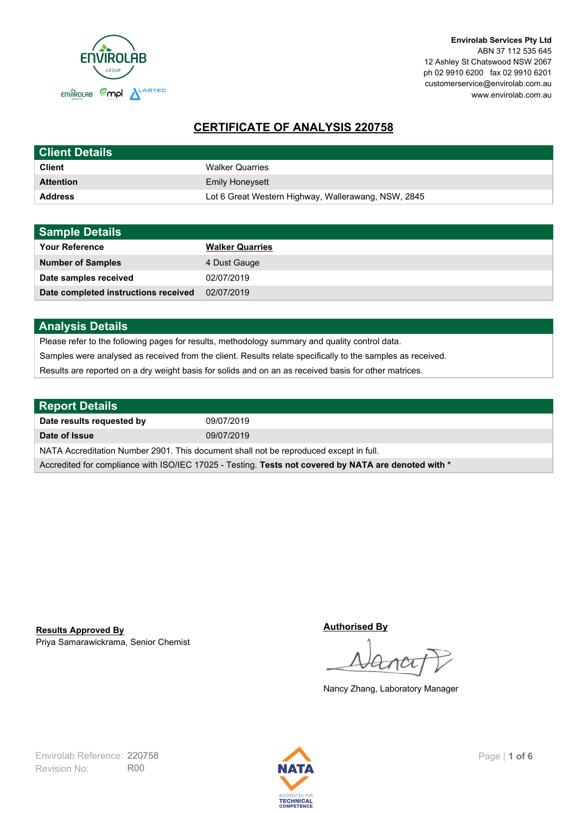

# **CERTIFICATE OF ANALYSIS 220758**

| <b>Client Details</b> |                                                     |
|-----------------------|-----------------------------------------------------|
| <b>Client</b>         | <b>Walker Quarries</b>                              |
| <b>Attention</b>      | <b>Emily Honeysett</b>                              |
| <b>Address</b>        | Lot 6 Great Western Highway, Wallerawang, NSW, 2845 |

| <b>Sample Details</b>                |                        |
|--------------------------------------|------------------------|
| <b>Your Reference</b>                | <b>Walker Quarries</b> |
| <b>Number of Samples</b>             | 4 Dust Gauge           |
| Date samples received                | 02/07/2019             |
| Date completed instructions received | 02/07/2019             |

## **Analysis Details**

Please refer to the following pages for results, methodology summary and quality control data.

Samples were analysed as received from the client. Results relate specifically to the samples as received.

Results are reported on a dry weight basis for solids and on an as received basis for other matrices.

| Report Details                                                                                       |            |  |
|------------------------------------------------------------------------------------------------------|------------|--|
| Date results requested by                                                                            | 09/07/2019 |  |
| Date of Issue                                                                                        | 09/07/2019 |  |
| NATA Accreditation Number 2901. This document shall not be reproduced except in full.                |            |  |
| Accredited for compliance with ISO/IEC 17025 - Testing. Tests not covered by NATA are denoted with * |            |  |

Priya Samarawickrama, Senior Chemist **Results Approved By**

**Authorised By**

Nancy Zhang, Laboratory Manager

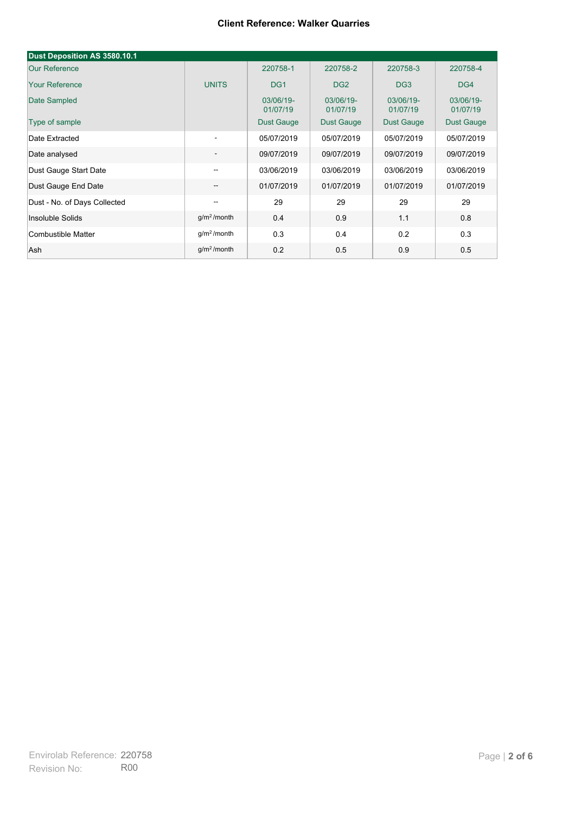| Dust Deposition AS 3580.10.1 |                          |                       |                       |                       |                       |
|------------------------------|--------------------------|-----------------------|-----------------------|-----------------------|-----------------------|
| <b>Our Reference</b>         |                          | 220758-1              | 220758-2              | 220758-3              | 220758-4              |
| <b>Your Reference</b>        | <b>UNITS</b>             | DG <sub>1</sub>       | DG <sub>2</sub>       | DG <sub>3</sub>       | DG4                   |
| Date Sampled                 |                          | 03/06/19-<br>01/07/19 | 03/06/19-<br>01/07/19 | 03/06/19-<br>01/07/19 | 03/06/19-<br>01/07/19 |
| Type of sample               |                          | <b>Dust Gauge</b>     | <b>Dust Gauge</b>     | <b>Dust Gauge</b>     | Dust Gauge            |
| Date Extracted               | $\overline{\phantom{a}}$ | 05/07/2019            | 05/07/2019            | 05/07/2019            | 05/07/2019            |
| Date analysed                | -                        | 09/07/2019            | 09/07/2019            | 09/07/2019            | 09/07/2019            |
| Dust Gauge Start Date        | --                       | 03/06/2019            | 03/06/2019            | 03/06/2019            | 03/06/2019            |
| Dust Gauge End Date          | $\overline{\phantom{a}}$ | 01/07/2019            | 01/07/2019            | 01/07/2019            | 01/07/2019            |
| Dust - No. of Days Collected | $\overline{\phantom{m}}$ | 29                    | 29                    | 29                    | 29                    |
| Insoluble Solids             | g/m <sup>2</sup> /month  | 0.4                   | 0.9                   | 1.1                   | 0.8                   |
| Combustible Matter           | g/m <sup>2</sup> /month  | 0.3                   | 0.4                   | 0.2                   | 0.3                   |
| Ash                          | g/m <sup>2</sup> /month  | 0.2                   | 0.5                   | 0.9                   | 0.5                   |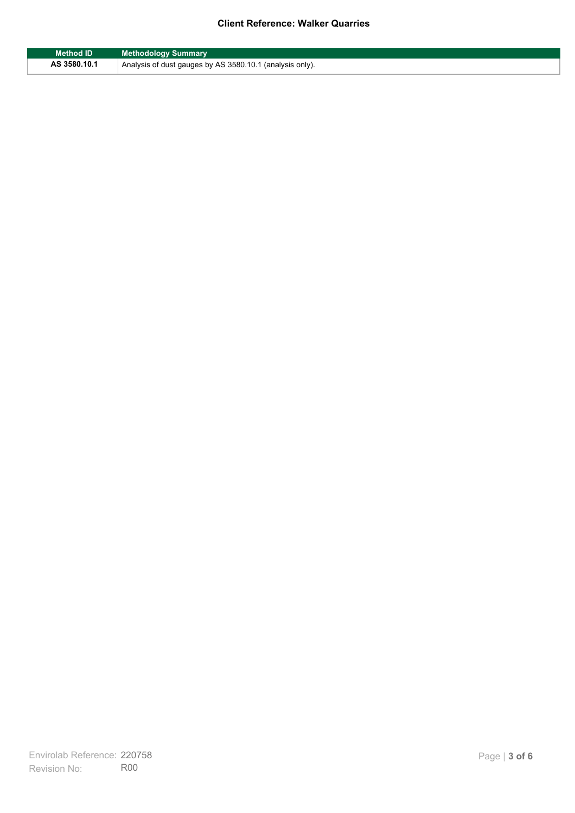| <b>Method ID</b> | <b>Methodology Summary</b>                               |
|------------------|----------------------------------------------------------|
| AS 3580.10.1     | Analysis of dust gauges by AS 3580.10.1 (analysis only). |

F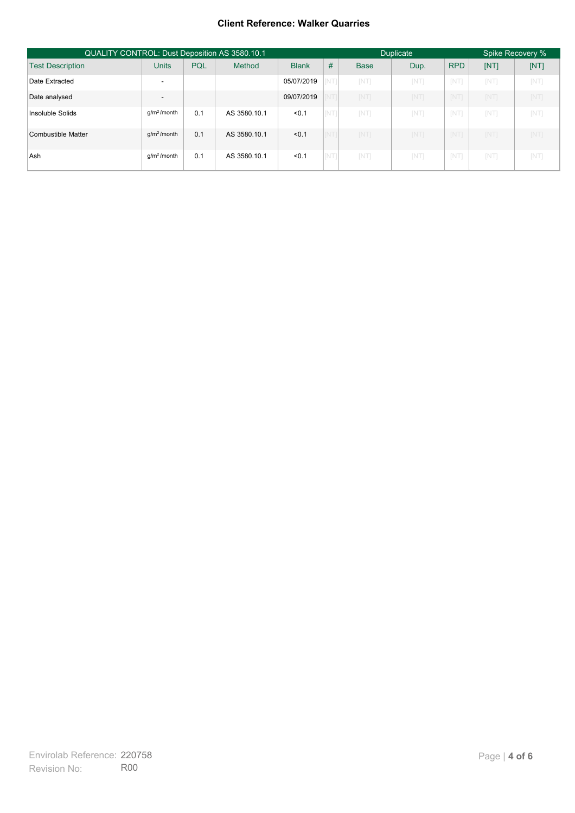| <b>QUALITY CONTROL: Dust Deposition AS 3580.10.1</b> |                          |     |              |              | <b>Duplicate</b> |             |            | Spike Recovery % |            |           |
|------------------------------------------------------|--------------------------|-----|--------------|--------------|------------------|-------------|------------|------------------|------------|-----------|
| <b>Test Description</b>                              | <b>Units</b>             | PQL | Method       | <b>Blank</b> | #                | <b>Base</b> | Dup.       | <b>RPD</b>       | [NT]       | [NT]      |
| Date Extracted                                       |                          |     |              | 05/07/2019   |                  | <b>INT</b>  | <b>INT</b> | <b>NT</b>        | <b>NT</b>  | [NT]      |
| Date analysed                                        | $\overline{\phantom{a}}$ |     |              | 09/07/2019   |                  | [NT]        | [NT]       | [NT]             | [NT]       | [NT]      |
| Insoluble Solids                                     | q/m <sup>2</sup> /month  | 0.1 | AS 3580.10.1 | < 0.1        | <b>INT</b>       | <b>NT</b>   | <b>INT</b> | <b>NT</b>        | <b>NT</b>  | [NT]      |
| Combustible Matter                                   | $q/m^2/m$ onth           | 0.1 | AS 3580.10.1 | < 0.1        | <b>INT</b>       | [NT]        | <b>INT</b> | [NT]             | <b>INT</b> | [NT]      |
| Ash                                                  | $q/m^2$ /month           | 0.1 | AS 3580.10.1 | < 0.1        |                  | <b>INT</b>  | <b>INT</b> | <b>NT</b>        | <b>NT</b>  | <b>NT</b> |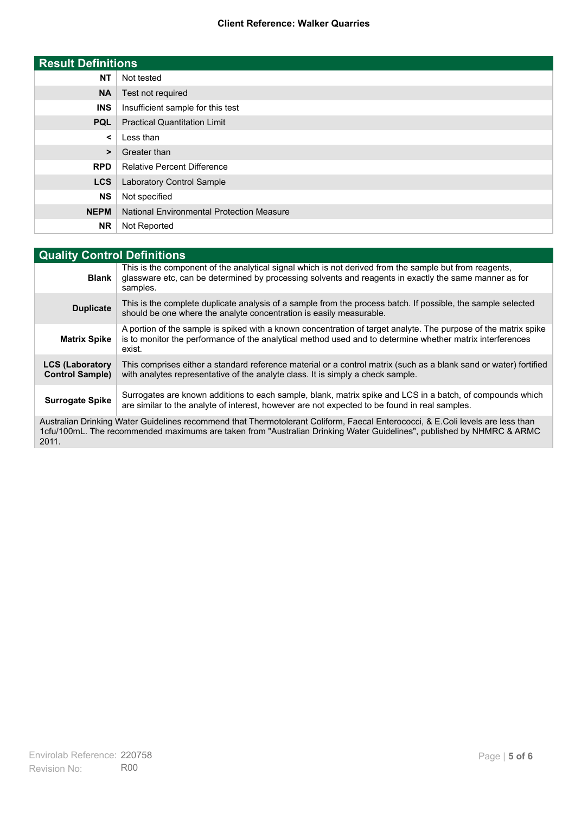| <b>Result Definitions</b> |                                                  |  |  |
|---------------------------|--------------------------------------------------|--|--|
| <b>NT</b>                 | Not tested                                       |  |  |
| <b>NA</b>                 | Test not required                                |  |  |
| <b>INS</b>                | Insufficient sample for this test                |  |  |
| <b>PQL</b>                | <b>Practical Quantitation Limit</b>              |  |  |
| $\prec$                   | Less than                                        |  |  |
| >                         | Greater than                                     |  |  |
| <b>RPD</b>                | <b>Relative Percent Difference</b>               |  |  |
| <b>LCS</b>                | <b>Laboratory Control Sample</b>                 |  |  |
| <b>NS</b>                 | Not specified                                    |  |  |
| <b>NEPM</b>               | <b>National Environmental Protection Measure</b> |  |  |
| <b>NR</b>                 | Not Reported                                     |  |  |

| <b>Quality Control Definitions</b>                                                                                                                                                                                                                      |                                                                                                                                                                                                                                        |  |  |  |  |
|---------------------------------------------------------------------------------------------------------------------------------------------------------------------------------------------------------------------------------------------------------|----------------------------------------------------------------------------------------------------------------------------------------------------------------------------------------------------------------------------------------|--|--|--|--|
| <b>Blank</b>                                                                                                                                                                                                                                            | This is the component of the analytical signal which is not derived from the sample but from reagents,<br>glassware etc, can be determined by processing solvents and reagents in exactly the same manner as for<br>samples.           |  |  |  |  |
| <b>Duplicate</b>                                                                                                                                                                                                                                        | This is the complete duplicate analysis of a sample from the process batch. If possible, the sample selected<br>should be one where the analyte concentration is easily measurable.                                                    |  |  |  |  |
| <b>Matrix Spike</b>                                                                                                                                                                                                                                     | A portion of the sample is spiked with a known concentration of target analyte. The purpose of the matrix spike<br>is to monitor the performance of the analytical method used and to determine whether matrix interferences<br>exist. |  |  |  |  |
| <b>LCS (Laboratory</b><br><b>Control Sample)</b>                                                                                                                                                                                                        | This comprises either a standard reference material or a control matrix (such as a blank sand or water) fortified<br>with analytes representative of the analyte class. It is simply a check sample.                                   |  |  |  |  |
| <b>Surrogate Spike</b>                                                                                                                                                                                                                                  | Surrogates are known additions to each sample, blank, matrix spike and LCS in a batch, of compounds which<br>are similar to the analyte of interest, however are not expected to be found in real samples.                             |  |  |  |  |
| Australian Drinking Water Guidelines recommend that Thermotolerant Coliform, Faecal Enterococci, & E.Coli levels are less than<br>1cfu/100mL. The recommended maximums are taken from "Australian Drinking Water Guidelines", published by NHMRC & ARMC |                                                                                                                                                                                                                                        |  |  |  |  |

2011.